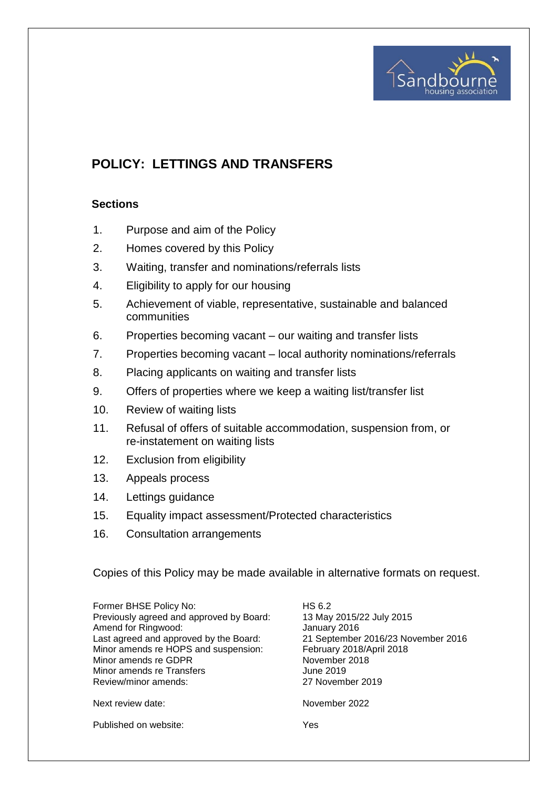

# **POLICY: LETTINGS AND TRANSFERS**

## **Sections**

- 1. Purpose and aim of the Policy
- 2. Homes covered by this Policy
- 3. Waiting, transfer and nominations/referrals lists
- 4. Eligibility to apply for our housing
- 5. Achievement of viable, representative, sustainable and balanced communities
- 6. Properties becoming vacant our waiting and transfer lists
- 7. Properties becoming vacant local authority nominations/referrals
- 8. Placing applicants on waiting and transfer lists
- 9. Offers of properties where we keep a waiting list/transfer list
- 10. Review of waiting lists
- 11. Refusal of offers of suitable accommodation, suspension from, or re-instatement on waiting lists
- 12. Exclusion from eligibility
- 13. Appeals process
- 14. Lettings guidance
- 15. Equality impact assessment/Protected characteristics
- 16. Consultation arrangements

Copies of this Policy may be made available in alternative formats on request.

Former BHSE Policy No: HS 6.2 Previously agreed and approved by Board: 13 May 2015/22 July 2015 Amend for Ringwood: January 2016 Last agreed and approved by the Board: 21 September 2016/23 November 2016 Minor amends re HOPS and suspension: February 2018/April 2018 Minor amends re GDPR November 2018 Minor amends re Transfers<br>
Review/minor amends: The Same Care of the Company of the Payabet 2019<br>
27 November 2019 Review/minor amends:

Next review date: November 2022

Published on website: Yes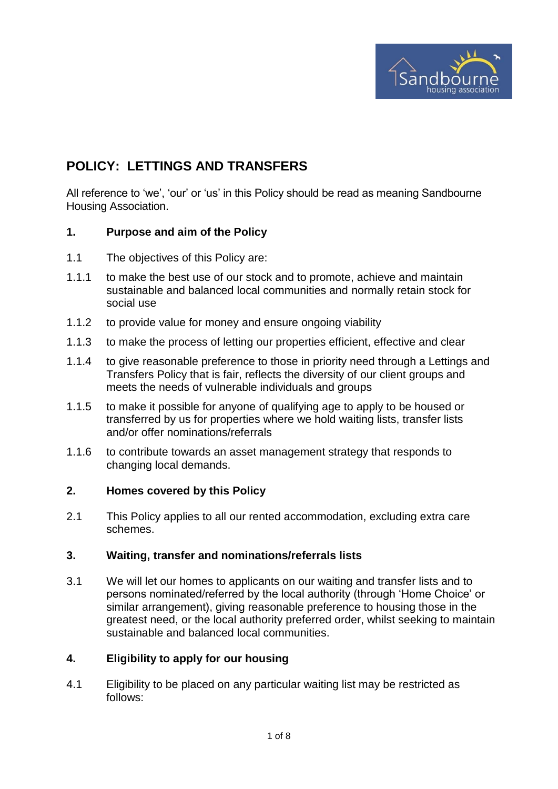

## **POLICY: LETTINGS AND TRANSFERS**

All reference to 'we', 'our' or 'us' in this Policy should be read as meaning Sandbourne Housing Association.

## **1. Purpose and aim of the Policy**

- 1.1 The objectives of this Policy are:
- 1.1.1 to make the best use of our stock and to promote, achieve and maintain sustainable and balanced local communities and normally retain stock for social use
- 1.1.2 to provide value for money and ensure ongoing viability
- 1.1.3 to make the process of letting our properties efficient, effective and clear
- 1.1.4 to give reasonable preference to those in priority need through a Lettings and Transfers Policy that is fair, reflects the diversity of our client groups and meets the needs of vulnerable individuals and groups
- 1.1.5 to make it possible for anyone of qualifying age to apply to be housed or transferred by us for properties where we hold waiting lists, transfer lists and/or offer nominations/referrals
- 1.1.6 to contribute towards an asset management strategy that responds to changing local demands.

## **2. Homes covered by this Policy**

2.1 This Policy applies to all our rented accommodation, excluding extra care schemes.

## **3. Waiting, transfer and nominations/referrals lists**

3.1 We will let our homes to applicants on our waiting and transfer lists and to persons nominated/referred by the local authority (through 'Home Choice' or similar arrangement), giving reasonable preference to housing those in the greatest need, or the local authority preferred order, whilst seeking to maintain sustainable and balanced local communities.

## **4. Eligibility to apply for our housing**

4.1 Eligibility to be placed on any particular waiting list may be restricted as follows: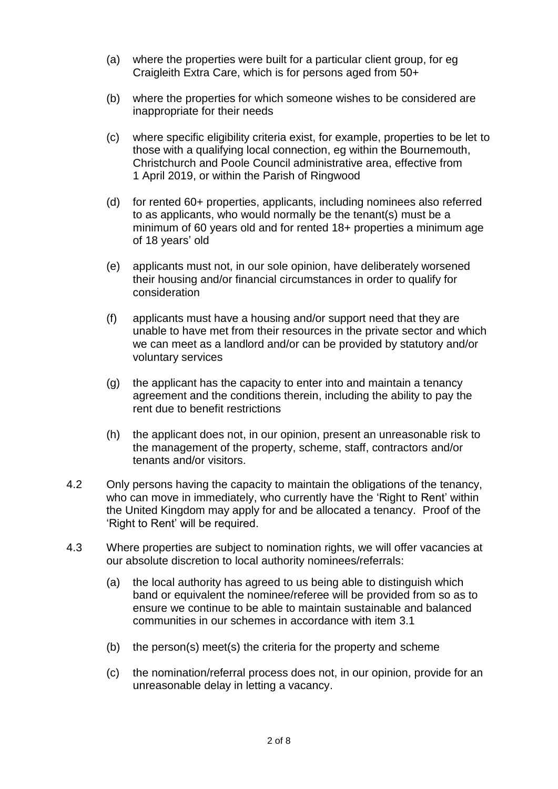- (a) where the properties were built for a particular client group, for eg Craigleith Extra Care, which is for persons aged from 50+
- (b) where the properties for which someone wishes to be considered are inappropriate for their needs
- (c) where specific eligibility criteria exist, for example, properties to be let to those with a qualifying local connection, eg within the Bournemouth, Christchurch and Poole Council administrative area, effective from 1 April 2019, or within the Parish of Ringwood
- (d) for rented 60+ properties, applicants, including nominees also referred to as applicants, who would normally be the tenant(s) must be a minimum of 60 years old and for rented 18+ properties a minimum age of 18 years' old
- (e) applicants must not, in our sole opinion, have deliberately worsened their housing and/or financial circumstances in order to qualify for consideration
- (f) applicants must have a housing and/or support need that they are unable to have met from their resources in the private sector and which we can meet as a landlord and/or can be provided by statutory and/or voluntary services
- (g) the applicant has the capacity to enter into and maintain a tenancy agreement and the conditions therein, including the ability to pay the rent due to benefit restrictions
- (h) the applicant does not, in our opinion, present an unreasonable risk to the management of the property, scheme, staff, contractors and/or tenants and/or visitors.
- 4.2 Only persons having the capacity to maintain the obligations of the tenancy, who can move in immediately, who currently have the 'Right to Rent' within the United Kingdom may apply for and be allocated a tenancy. Proof of the 'Right to Rent' will be required.
- 4.3 Where properties are subject to nomination rights, we will offer vacancies at our absolute discretion to local authority nominees/referrals:
	- (a) the local authority has agreed to us being able to distinguish which band or equivalent the nominee/referee will be provided from so as to ensure we continue to be able to maintain sustainable and balanced communities in our schemes in accordance with item 3.1
	- (b) the person(s) meet(s) the criteria for the property and scheme
	- (c) the nomination/referral process does not, in our opinion, provide for an unreasonable delay in letting a vacancy.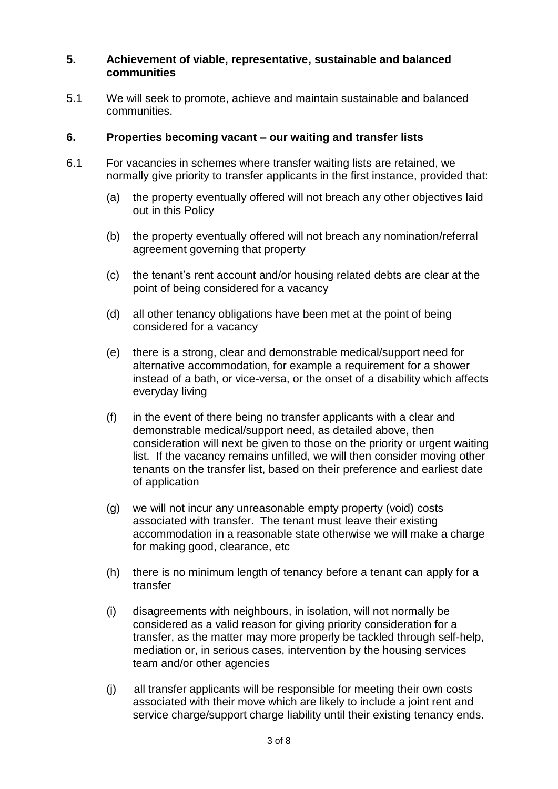## **5. Achievement of viable, representative, sustainable and balanced communities**

5.1 We will seek to promote, achieve and maintain sustainable and balanced communities.

## **6. Properties becoming vacant – our waiting and transfer lists**

- 6.1 For vacancies in schemes where transfer waiting lists are retained, we normally give priority to transfer applicants in the first instance, provided that:
	- (a) the property eventually offered will not breach any other objectives laid out in this Policy
	- (b) the property eventually offered will not breach any nomination/referral agreement governing that property
	- (c) the tenant's rent account and/or housing related debts are clear at the point of being considered for a vacancy
	- (d) all other tenancy obligations have been met at the point of being considered for a vacancy
	- (e) there is a strong, clear and demonstrable medical/support need for alternative accommodation, for example a requirement for a shower instead of a bath, or vice-versa, or the onset of a disability which affects everyday living
	- (f) in the event of there being no transfer applicants with a clear and demonstrable medical/support need, as detailed above, then consideration will next be given to those on the priority or urgent waiting list. If the vacancy remains unfilled, we will then consider moving other tenants on the transfer list, based on their preference and earliest date of application
	- (g) we will not incur any unreasonable empty property (void) costs associated with transfer. The tenant must leave their existing accommodation in a reasonable state otherwise we will make a charge for making good, clearance, etc
	- (h) there is no minimum length of tenancy before a tenant can apply for a transfer
	- (i) disagreements with neighbours, in isolation, will not normally be considered as a valid reason for giving priority consideration for a transfer, as the matter may more properly be tackled through self-help, mediation or, in serious cases, intervention by the housing services team and/or other agencies
	- (j) all transfer applicants will be responsible for meeting their own costs associated with their move which are likely to include a joint rent and service charge/support charge liability until their existing tenancy ends.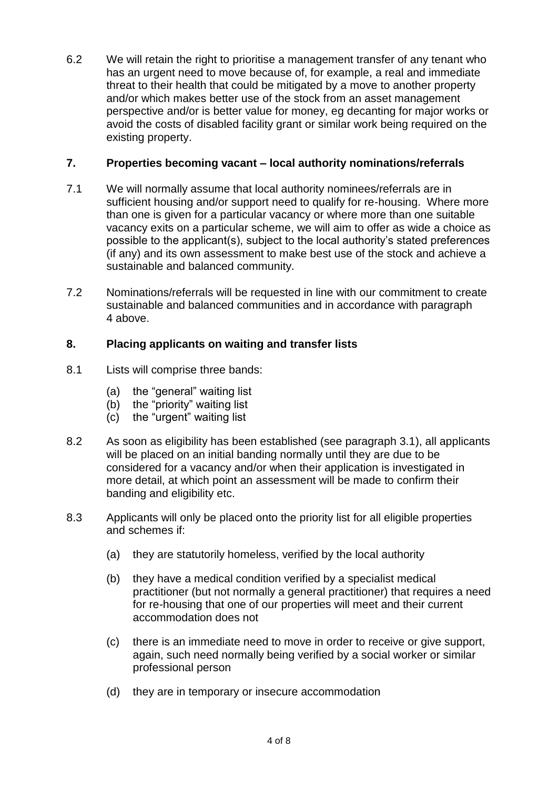6.2 We will retain the right to prioritise a management transfer of any tenant who has an urgent need to move because of, for example, a real and immediate threat to their health that could be mitigated by a move to another property and/or which makes better use of the stock from an asset management perspective and/or is better value for money, eg decanting for major works or avoid the costs of disabled facility grant or similar work being required on the existing property.

## **7. Properties becoming vacant – local authority nominations/referrals**

- 7.1 We will normally assume that local authority nominees/referrals are in sufficient housing and/or support need to qualify for re-housing. Where more than one is given for a particular vacancy or where more than one suitable vacancy exits on a particular scheme, we will aim to offer as wide a choice as possible to the applicant(s), subject to the local authority's stated preferences (if any) and its own assessment to make best use of the stock and achieve a sustainable and balanced community.
- 7.2 Nominations/referrals will be requested in line with our commitment to create sustainable and balanced communities and in accordance with paragraph 4 above.

## **8. Placing applicants on waiting and transfer lists**

- 8.1 Lists will comprise three bands:
	- (a) the "general" waiting list
	- (b) the "priority" waiting list
	- (c) the "urgent" waiting list
- 8.2 As soon as eligibility has been established (see paragraph 3.1), all applicants will be placed on an initial banding normally until they are due to be considered for a vacancy and/or when their application is investigated in more detail, at which point an assessment will be made to confirm their banding and eligibility etc.
- 8.3 Applicants will only be placed onto the priority list for all eligible properties and schemes if:
	- (a) they are statutorily homeless, verified by the local authority
	- (b) they have a medical condition verified by a specialist medical practitioner (but not normally a general practitioner) that requires a need for re-housing that one of our properties will meet and their current accommodation does not
	- (c) there is an immediate need to move in order to receive or give support, again, such need normally being verified by a social worker or similar professional person
	- (d) they are in temporary or insecure accommodation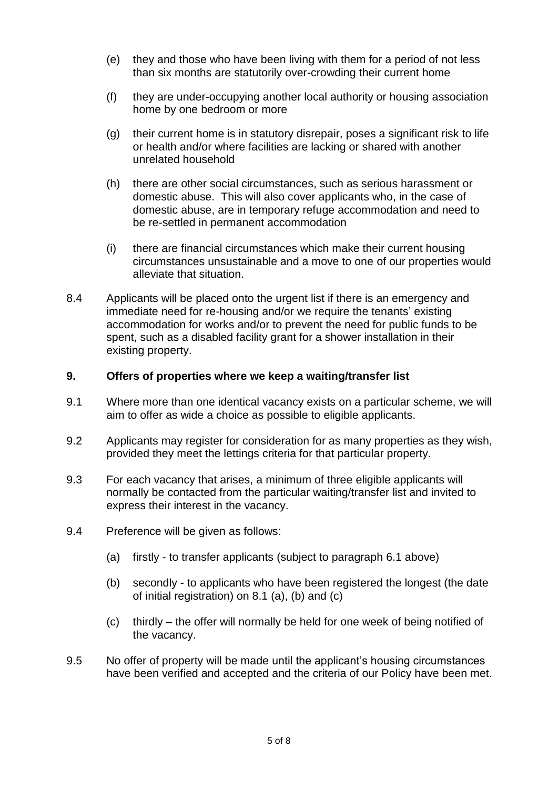- (e) they and those who have been living with them for a period of not less than six months are statutorily over-crowding their current home
- (f) they are under-occupying another local authority or housing association home by one bedroom or more
- (g) their current home is in statutory disrepair, poses a significant risk to life or health and/or where facilities are lacking or shared with another unrelated household
- (h) there are other social circumstances, such as serious harassment or domestic abuse. This will also cover applicants who, in the case of domestic abuse, are in temporary refuge accommodation and need to be re-settled in permanent accommodation
- (i) there are financial circumstances which make their current housing circumstances unsustainable and a move to one of our properties would alleviate that situation.
- 8.4 Applicants will be placed onto the urgent list if there is an emergency and immediate need for re-housing and/or we require the tenants' existing accommodation for works and/or to prevent the need for public funds to be spent, such as a disabled facility grant for a shower installation in their existing property.

## **9. Offers of properties where we keep a waiting/transfer list**

- 9.1 Where more than one identical vacancy exists on a particular scheme, we will aim to offer as wide a choice as possible to eligible applicants.
- 9.2 Applicants may register for consideration for as many properties as they wish, provided they meet the lettings criteria for that particular property.
- 9.3 For each vacancy that arises, a minimum of three eligible applicants will normally be contacted from the particular waiting/transfer list and invited to express their interest in the vacancy.
- 9.4 Preference will be given as follows:
	- (a) firstly to transfer applicants (subject to paragraph 6.1 above)
	- (b) secondly to applicants who have been registered the longest (the date of initial registration) on 8.1 (a), (b) and (c)
	- (c) thirdly the offer will normally be held for one week of being notified of the vacancy.
- 9.5 No offer of property will be made until the applicant's housing circumstances have been verified and accepted and the criteria of our Policy have been met.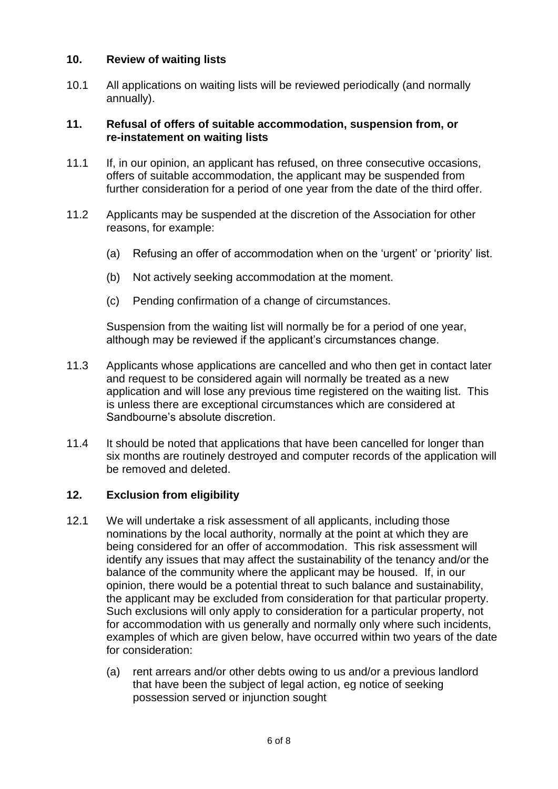## **10. Review of waiting lists**

10.1 All applications on waiting lists will be reviewed periodically (and normally annually).

## **11. Refusal of offers of suitable accommodation, suspension from, or re-instatement on waiting lists**

- 11.1 If, in our opinion, an applicant has refused, on three consecutive occasions, offers of suitable accommodation, the applicant may be suspended from further consideration for a period of one year from the date of the third offer.
- 11.2 Applicants may be suspended at the discretion of the Association for other reasons, for example:
	- (a) Refusing an offer of accommodation when on the 'urgent' or 'priority' list.
	- (b) Not actively seeking accommodation at the moment.
	- (c) Pending confirmation of a change of circumstances.

Suspension from the waiting list will normally be for a period of one year, although may be reviewed if the applicant's circumstances change.

- 11.3 Applicants whose applications are cancelled and who then get in contact later and request to be considered again will normally be treated as a new application and will lose any previous time registered on the waiting list. This is unless there are exceptional circumstances which are considered at Sandbourne's absolute discretion.
- 11.4 It should be noted that applications that have been cancelled for longer than six months are routinely destroyed and computer records of the application will be removed and deleted.

## **12. Exclusion from eligibility**

- 12.1 We will undertake a risk assessment of all applicants, including those nominations by the local authority, normally at the point at which they are being considered for an offer of accommodation. This risk assessment will identify any issues that may affect the sustainability of the tenancy and/or the balance of the community where the applicant may be housed. If, in our opinion, there would be a potential threat to such balance and sustainability, the applicant may be excluded from consideration for that particular property. Such exclusions will only apply to consideration for a particular property, not for accommodation with us generally and normally only where such incidents, examples of which are given below, have occurred within two years of the date for consideration:
	- (a) rent arrears and/or other debts owing to us and/or a previous landlord that have been the subject of legal action, eg notice of seeking possession served or injunction sought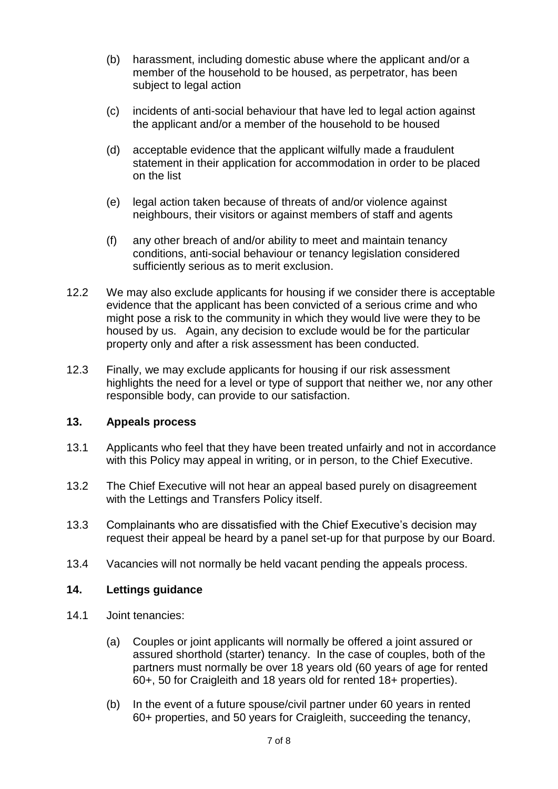- (b) harassment, including domestic abuse where the applicant and/or a member of the household to be housed, as perpetrator, has been subject to legal action
- (c) incidents of anti-social behaviour that have led to legal action against the applicant and/or a member of the household to be housed
- (d) acceptable evidence that the applicant wilfully made a fraudulent statement in their application for accommodation in order to be placed on the list
- (e) legal action taken because of threats of and/or violence against neighbours, their visitors or against members of staff and agents
- (f) any other breach of and/or ability to meet and maintain tenancy conditions, anti-social behaviour or tenancy legislation considered sufficiently serious as to merit exclusion.
- 12.2 We may also exclude applicants for housing if we consider there is acceptable evidence that the applicant has been convicted of a serious crime and who might pose a risk to the community in which they would live were they to be housed by us. Again, any decision to exclude would be for the particular property only and after a risk assessment has been conducted.
- 12.3 Finally, we may exclude applicants for housing if our risk assessment highlights the need for a level or type of support that neither we, nor any other responsible body, can provide to our satisfaction.

## **13. Appeals process**

- 13.1 Applicants who feel that they have been treated unfairly and not in accordance with this Policy may appeal in writing, or in person, to the Chief Executive.
- 13.2 The Chief Executive will not hear an appeal based purely on disagreement with the Lettings and Transfers Policy itself.
- 13.3 Complainants who are dissatisfied with the Chief Executive's decision may request their appeal be heard by a panel set-up for that purpose by our Board.
- 13.4 Vacancies will not normally be held vacant pending the appeals process.

## **14. Lettings guidance**

- 14.1 Joint tenancies:
	- (a) Couples or joint applicants will normally be offered a joint assured or assured shorthold (starter) tenancy. In the case of couples, both of the partners must normally be over 18 years old (60 years of age for rented 60+, 50 for Craigleith and 18 years old for rented 18+ properties).
	- (b) In the event of a future spouse/civil partner under 60 years in rented 60+ properties, and 50 years for Craigleith, succeeding the tenancy,